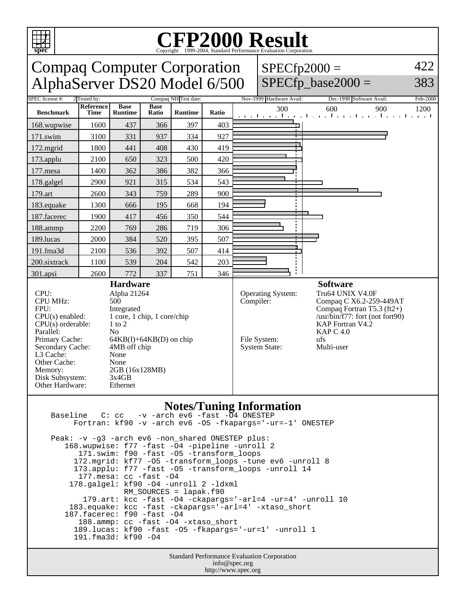

## Copyright ©1999-2004, Standard Performance Evaluation Corporation

| <b>Compaq Computer Corporation</b><br>$SPECfp2000 =$<br>AlphaServer DS20 Model 6/500<br>$SPECfp\_base2000 =$                                                                                                                                                                                                                                                                                                                    |                          |                               |                      |                |           |                                                           |                                                                                                                                                                                                     |                                                                           | 422<br>383 |
|---------------------------------------------------------------------------------------------------------------------------------------------------------------------------------------------------------------------------------------------------------------------------------------------------------------------------------------------------------------------------------------------------------------------------------|--------------------------|-------------------------------|----------------------|----------------|-----------|-----------------------------------------------------------|-----------------------------------------------------------------------------------------------------------------------------------------------------------------------------------------------------|---------------------------------------------------------------------------|------------|
| <b>SPEC</b> license #:<br>2 Tested by:                                                                                                                                                                                                                                                                                                                                                                                          |                          |                               | Compaq NH Test date: |                |           |                                                           | Nov-1999 Hardware Avail:                                                                                                                                                                            | Dec-1998 Software Avail:                                                  | Feb-2000   |
| <b>Benchmark</b>                                                                                                                                                                                                                                                                                                                                                                                                                | Reference<br><b>Time</b> | <b>Base</b><br><b>Runtime</b> | <b>Base</b><br>Ratio | <b>Runtime</b> | Ratio     |                                                           | 300                                                                                                                                                                                                 | 600<br>900<br>المتعاجلة والمتعارف والمتعارف والمتعارف والمتعارف والمتعارف | 1200       |
| 168.wupwise                                                                                                                                                                                                                                                                                                                                                                                                                     | 1600                     | 437                           | 366                  | 397            | 403       |                                                           |                                                                                                                                                                                                     |                                                                           |            |
| 171.swim                                                                                                                                                                                                                                                                                                                                                                                                                        | 3100                     | 331                           | 937                  | 334            | 927       |                                                           |                                                                                                                                                                                                     |                                                                           |            |
| 172.mgrid                                                                                                                                                                                                                                                                                                                                                                                                                       | 1800                     | 441                           | 408                  | 430            | 419       |                                                           |                                                                                                                                                                                                     |                                                                           |            |
| 173.applu                                                                                                                                                                                                                                                                                                                                                                                                                       | 2100                     | 650                           | 323                  | 500            | 420       |                                                           |                                                                                                                                                                                                     |                                                                           |            |
| 177.mesa                                                                                                                                                                                                                                                                                                                                                                                                                        | 1400                     | 362                           | 386                  | 382            | 366       |                                                           |                                                                                                                                                                                                     |                                                                           |            |
| 178.galgel                                                                                                                                                                                                                                                                                                                                                                                                                      | 2900                     | 921                           | 315                  | 534            | 543       |                                                           |                                                                                                                                                                                                     |                                                                           |            |
| 179.art                                                                                                                                                                                                                                                                                                                                                                                                                         | 2600                     | 343                           | 759                  | 289            | 900       |                                                           |                                                                                                                                                                                                     |                                                                           |            |
| 183.equake                                                                                                                                                                                                                                                                                                                                                                                                                      | 1300                     | 666                           | 195                  | 668            | 194       |                                                           |                                                                                                                                                                                                     |                                                                           |            |
| 187.facerec                                                                                                                                                                                                                                                                                                                                                                                                                     | 1900                     | 417                           | 456                  | 350            | 544       |                                                           |                                                                                                                                                                                                     |                                                                           |            |
| 188.ammp                                                                                                                                                                                                                                                                                                                                                                                                                        | 2200                     | 769                           | 286                  | 719            | 306       |                                                           |                                                                                                                                                                                                     |                                                                           |            |
| 189.lucas                                                                                                                                                                                                                                                                                                                                                                                                                       | 2000                     | 384                           | 520                  | 395            | 507       |                                                           |                                                                                                                                                                                                     |                                                                           |            |
| 191.fma3d                                                                                                                                                                                                                                                                                                                                                                                                                       | 2100                     | 536                           | 392                  | 507            | 414       |                                                           |                                                                                                                                                                                                     |                                                                           |            |
| 200.sixtrack                                                                                                                                                                                                                                                                                                                                                                                                                    | 1100                     | 539                           | 204                  | 542            | 203       |                                                           |                                                                                                                                                                                                     |                                                                           |            |
| 301.apsi                                                                                                                                                                                                                                                                                                                                                                                                                        | 2600                     | 772                           | 337                  | 751            | 346       |                                                           |                                                                                                                                                                                                     |                                                                           |            |
| <b>Hardware</b><br>$CPI$ :<br>Alpha 21264<br><b>CPU MHz:</b><br>500<br>FPU:<br>Integrated<br>$CPU(s)$ enabled:<br>1 core, 1 chip, 1 core/chip<br>$CPU(s)$ orderable:<br>$1$ to $2$<br>Parallel:<br>No<br>Primary Cache:<br>$64KB(I) + 64KB(D)$ on chip<br>Secondary Cache:<br>4MB off chip<br>L3 Cache:<br>None<br>Other Cache:<br>None<br>2GB (16x128MB)<br>Memory:<br>3x4GB<br>Disk Subsystem:<br>Other Hardware:<br>Ethernet |                          |                               |                      |                | Compiler: | Operating System:<br>File System:<br><b>System State:</b> | <b>Software</b><br>Tru64 UNIX V4.0F<br>Compaq C X6.2-259-449AT<br>Compaq Fortran T5.3 (ft2+)<br>$\sqrt{\text{usr/bin}/f77}$ : fort (not fort90)<br>KAP Fortran V4.2<br>KAPC4.0<br>ufs<br>Multi-user |                                                                           |            |

## **Notes/Tuning Information**

Baseline C: cc -v -arch ev6 -fast -04 ONESTEP Fortran: kf90 -v -arch ev6 -O5 -fkapargs='-ur=-1' ONESTEP Peak: -v -g3 -arch ev6 -non\_shared ONESTEP plus: 168.wupwise: f77 -fast -O4 -pipeline -unroll 2 171.swim: f90 -fast -O5 -transform\_loops 172.mgrid: kf77 -O5 -transform\_loops -tune ev6 -unroll 8 173.applu: f77 -fast -O5 -transform\_loops -unroll 14 177.mesa: cc -fast -O4 178.galgel: kf90 -O4 -unroll 2 -ldxml RM\_SOURCES = lapak.f90 179.art: kcc -fast -O4 -ckapargs='-arl=4 -ur=4' -unroll 10 183.equake: kcc -fast -ckapargs='-arl=4' -xtaso\_short 187.facerec: f90 -fast -O4 188.ammp: cc -fast -O4 -xtaso\_short 189.lucas: kf90 -fast -O5 -fkapargs='-ur=1' -unroll 1 191.fma3d: kf90 -O4

> Standard Performance Evaluation Corporation info@spec.org http://www.spec.org